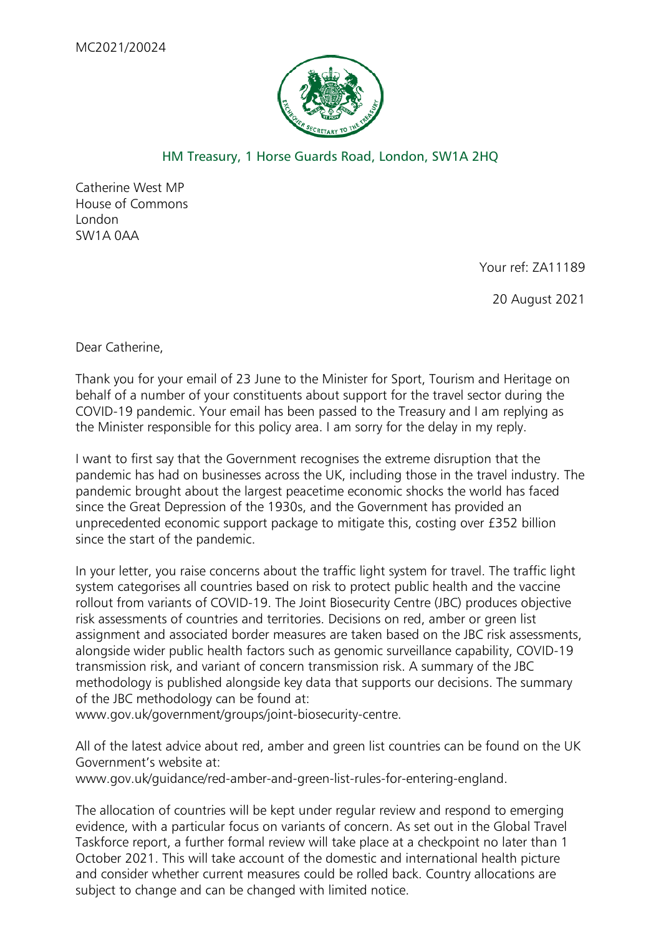

## HM Treasury, 1 Horse Guards Road, London, SW1A 2HQ

Catherine West MP House of Commons London SW1A 0AA

Your ref: ZA11189

20 August 2021

Dear Catherine,

Thank you for your email of 23 June to the Minister for Sport, Tourism and Heritage on behalf of a number of your constituents about support for the travel sector during the COVID-19 pandemic. Your email has been passed to the Treasury and I am replying as the Minister responsible for this policy area. I am sorry for the delay in my reply.

I want to first say that the Government recognises the extreme disruption that the pandemic has had on businesses across the UK, including those in the travel industry. The pandemic brought about the largest peacetime economic shocks the world has faced since the Great Depression of the 1930s, and the Government has provided an unprecedented economic support package to mitigate this, costing over £352 billion since the start of the pandemic.

In your letter, you raise concerns about the traffic light system for travel. The traffic light system categorises all countries based on risk to protect public health and the vaccine rollout from variants of COVID-19. The Joint Biosecurity Centre (JBC) produces objective risk assessments of countries and territories. Decisions on red, amber or green list assignment and associated border measures are taken based on the JBC risk assessments, alongside wider public health factors such as genomic surveillance capability, COVID-19 transmission risk, and variant of concern transmission risk. A summary of the JBC methodology is published alongside key data that supports our decisions. The summary of the JBC methodology can be found at:

www.gov.uk/government/groups/joint-biosecurity-centre.   

All of the latest advice about red, amber and green list countries can be found on the UK Government's website at:

www.gov.uk/guidance/red-amber-and-green-list-rules-for-entering-england.

The allocation of countries will be kept under regular review and respond to emerging evidence, with a particular focus on variants of concern. As set out in the Global Travel Taskforce report, a further formal review will take place at a checkpoint no later than 1 October 2021. This will take account of the domestic and international health picture and consider whether current measures could be rolled back. Country allocations are subject to change and can be changed with limited notice.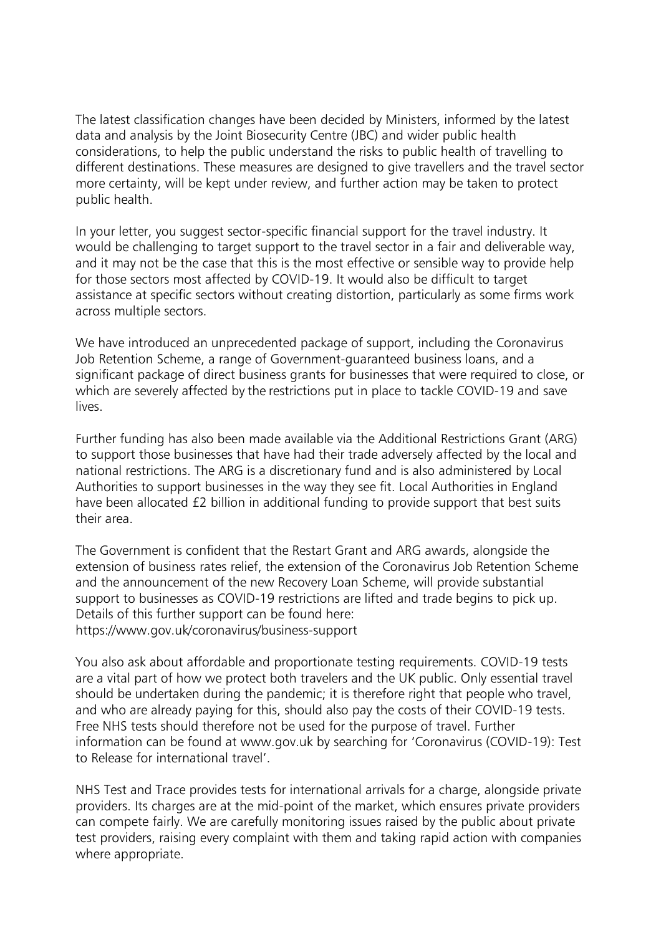The latest classification changes have been decided by Ministers, informed by the latest data and analysis by the Joint Biosecurity Centre (JBC) and wider public health considerations, to help the public understand the risks to public health of travelling to different destinations. These measures are designed to give travellers and the travel sector more certainty, will be kept under review, and further action may be taken to protect public health.

In your letter, you suggest sector-specific financial support for the travel industry. It would be challenging to target support to the travel sector in a fair and deliverable way, and it may not be the case that this is the most effective or sensible way to provide help for those sectors most affected by COVID-19. It would also be difficult to target assistance at specific sectors without creating distortion, particularly as some firms work across multiple sectors.  

We have introduced an unprecedented package of support, including the Coronavirus Job Retention Scheme, a range of Government-guaranteed business loans, and a significant package of direct business grants for businesses that were required to close, or which are severely affected by the restrictions put in place to tackle COVID-19 and save lives.

Further funding has also been made available via the Additional Restrictions Grant (ARG) to support those businesses that have had their trade adversely affected by the local and national restrictions. The ARG is a discretionary fund and is also administered by Local Authorities to support businesses in the way they see fit. Local Authorities in England have been allocated £2 billion in additional funding to provide support that best suits their area.

The Government is confident that the Restart Grant and ARG awards, alongside the extension of business rates relief, the extension of the Coronavirus Job Retention Scheme and the announcement of the new Recovery Loan Scheme, will provide substantial support to businesses as COVID-19 restrictions are lifted and trade begins to pick up. Details of this further support can be found here: https://www.gov.uk/coronavirus/business-support

You also ask about affordable and proportionate testing requirements. COVID-19 tests are a vital part of how we protect both travelers and the UK public. Only essential travel should be undertaken during the pandemic; it is therefore right that people who travel, and who are already paying for this, should also pay the costs of their COVID-19 tests. Free NHS tests should therefore not be used for the purpose of travel. Further information can be found at www.gov.uk by searching for 'Coronavirus (COVID-19): Test to Release for international travel'.

NHS Test and Trace provides tests for international arrivals for a charge, alongside private providers. Its charges are at the mid-point of the market, which ensures private providers can compete fairly. We are carefully monitoring issues raised by the public about private test providers, raising every complaint with them and taking rapid action with companies where appropriate.